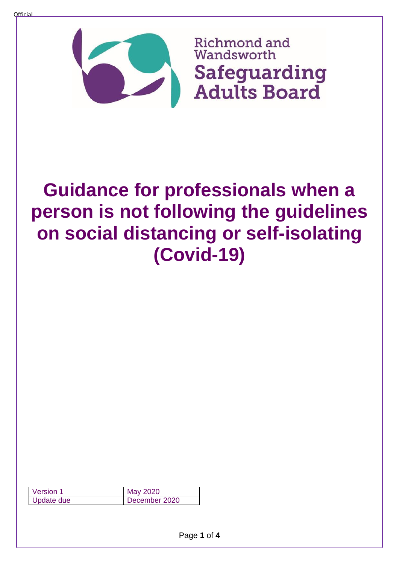

## **Guidance for professionals when a person is not following the guidelines on social distancing or self-isolating (Covid-19)**

| Version 1  | May 2020      |
|------------|---------------|
| Update due | December 2020 |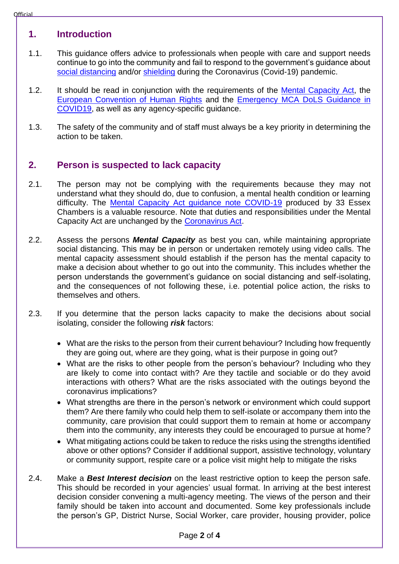## **1. Introduction**

- 1.1. This guidance offers advice to professionals when people with care and support needs continue to go into the community and fail to respond to the government's guidance about [social distancing](https://www.gov.uk/government/publications/staying-alert-and-safe-social-distancing/staying-alert-and-safe-social-distancing) and/or [shielding](https://www.gov.uk/government/publications/guidance-on-shielding-and-protecting-extremely-vulnerable-persons-from-covid-19/guidance-on-shielding-and-protecting-extremely-vulnerable-persons-from-covid-19) during the Coronavirus (Covid-19) pandemic.
- 1.2. It should be read in conjunction with the requirements of the [Mental Capacity Act,](http://www.legislation.gov.uk/ukpga/2005/9/contents) the [European Convention of Human Rights](https://www.echr.coe.int/Documents/Convention_ENG.pdf) and the [Emergency MCA DoLS Guidance in](https://assets.publishing.service.gov.uk/government/uploads/system/uploads/attachment_data/file/878910/Emergency_MCA_DoLS_Guidance_COVID19.pdf)  [COVID19,](https://assets.publishing.service.gov.uk/government/uploads/system/uploads/attachment_data/file/878910/Emergency_MCA_DoLS_Guidance_COVID19.pdf) as well as any agency-specific guidance.
- 1.3. The safety of the community and of staff must always be a key priority in determining the action to be taken.

## **2. Person is suspected to lack capacity**

- 2.1. The person may not be complying with the requirements because they may not understand what they should do, due to confusion, a mental health condition or learning difficulty. The [Mental Capacity Act guidance note COVID-19](https://1f2ca7mxjow42e65q49871m1-wpengine.netdna-ssl.com/wp-content/uploads/2020/03/Mental-Capacity-Guidance-Note-COVID-19-capacity-and-social-distancing-31-March-2020.pdf) produced by 33 Essex Chambers is a valuable resource. Note that duties and responsibilities under the Mental Capacity Act are unchanged by the [Coronavirus Act.](http://www.legislation.gov.uk/ukpga/2020/7/contents/enacted/data.htm)
- 2.2. Assess the persons *Mental Capacity* as best you can, while maintaining appropriate social distancing. This may be in person or undertaken remotely using video calls. The mental capacity assessment should establish if the person has the mental capacity to make a decision about whether to go out into the community. This includes whether the person understands the government's guidance on social distancing and self-isolating, and the consequences of not following these, i.e. potential police action, the risks to themselves and others.
- 2.3. If you determine that the person lacks capacity to make the decisions about social isolating, consider the following *risk* factors:
	- What are the risks to the person from their current behaviour? Including how frequently they are going out, where are they going, what is their purpose in going out?
	- What are the risks to other people from the person's behaviour? Including who they are likely to come into contact with? Are they tactile and sociable or do they avoid interactions with others? What are the risks associated with the outings beyond the coronavirus implications?
	- What strengths are there in the person's network or environment which could support them? Are there family who could help them to self-isolate or accompany them into the community, care provision that could support them to remain at home or accompany them into the community, any interests they could be encouraged to pursue at home?
	- What mitigating actions could be taken to reduce the risks using the strengths identified above or other options? Consider if additional support, assistive technology, voluntary or community support, respite care or a police visit might help to mitigate the risks
- 2.4. Make a *Best Interest decision* on the least restrictive option to keep the person safe. This should be recorded in your agencies' usual format. In arriving at the best interest decision consider convening a multi-agency meeting. The views of the person and their family should be taken into account and documented. Some key professionals include the person's GP, District Nurse, Social Worker, care provider, housing provider, police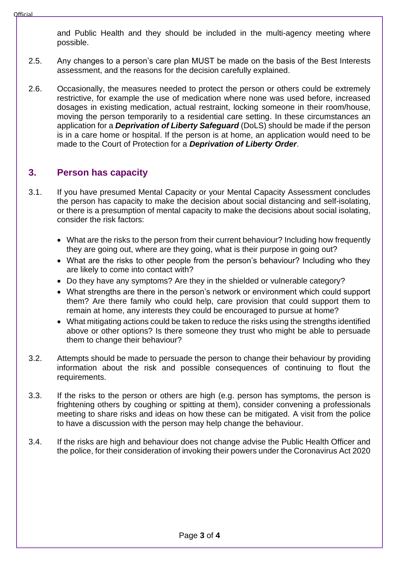and Public Health and they should be included in the multi-agency meeting where possible.

- 2.5. Any changes to a person's care plan MUST be made on the basis of the Best Interests assessment, and the reasons for the decision carefully explained.
- 2.6. Occasionally, the measures needed to protect the person or others could be extremely restrictive, for example the use of medication where none was used before, increased dosages in existing medication, actual restraint, locking someone in their room/house, moving the person temporarily to a residential care setting. In these circumstances an application for a *Deprivation of Liberty Safeguard* (DoLS) should be made if the person is in a care home or hospital. If the person is at home, an application would need to be made to the Court of Protection for a *Deprivation of Liberty Order*.

## **3. Person has capacity**

- 3.1. If you have presumed Mental Capacity or your Mental Capacity Assessment concludes the person has capacity to make the decision about social distancing and self-isolating, or there is a presumption of mental capacity to make the decisions about social isolating, consider the risk factors:
	- What are the risks to the person from their current behaviour? Including how frequently they are going out, where are they going, what is their purpose in going out?
	- What are the risks to other people from the person's behaviour? Including who they are likely to come into contact with?
	- Do they have any symptoms? Are they in the shielded or vulnerable category?
	- What strengths are there in the person's network or environment which could support them? Are there family who could help, care provision that could support them to remain at home, any interests they could be encouraged to pursue at home?
	- What mitigating actions could be taken to reduce the risks using the strengths identified above or other options? Is there someone they trust who might be able to persuade them to change their behaviour?
- 3.2. Attempts should be made to persuade the person to change their behaviour by providing information about the risk and possible consequences of continuing to flout the requirements.
- 3.3. If the risks to the person or others are high (e.g. person has symptoms, the person is frightening others by coughing or spitting at them), consider convening a professionals meeting to share risks and ideas on how these can be mitigated. A visit from the police to have a discussion with the person may help change the behaviour.
- 3.4. If the risks are high and behaviour does not change advise the Public Health Officer and the police, for their consideration of invoking their powers under the Coronavirus Act 2020